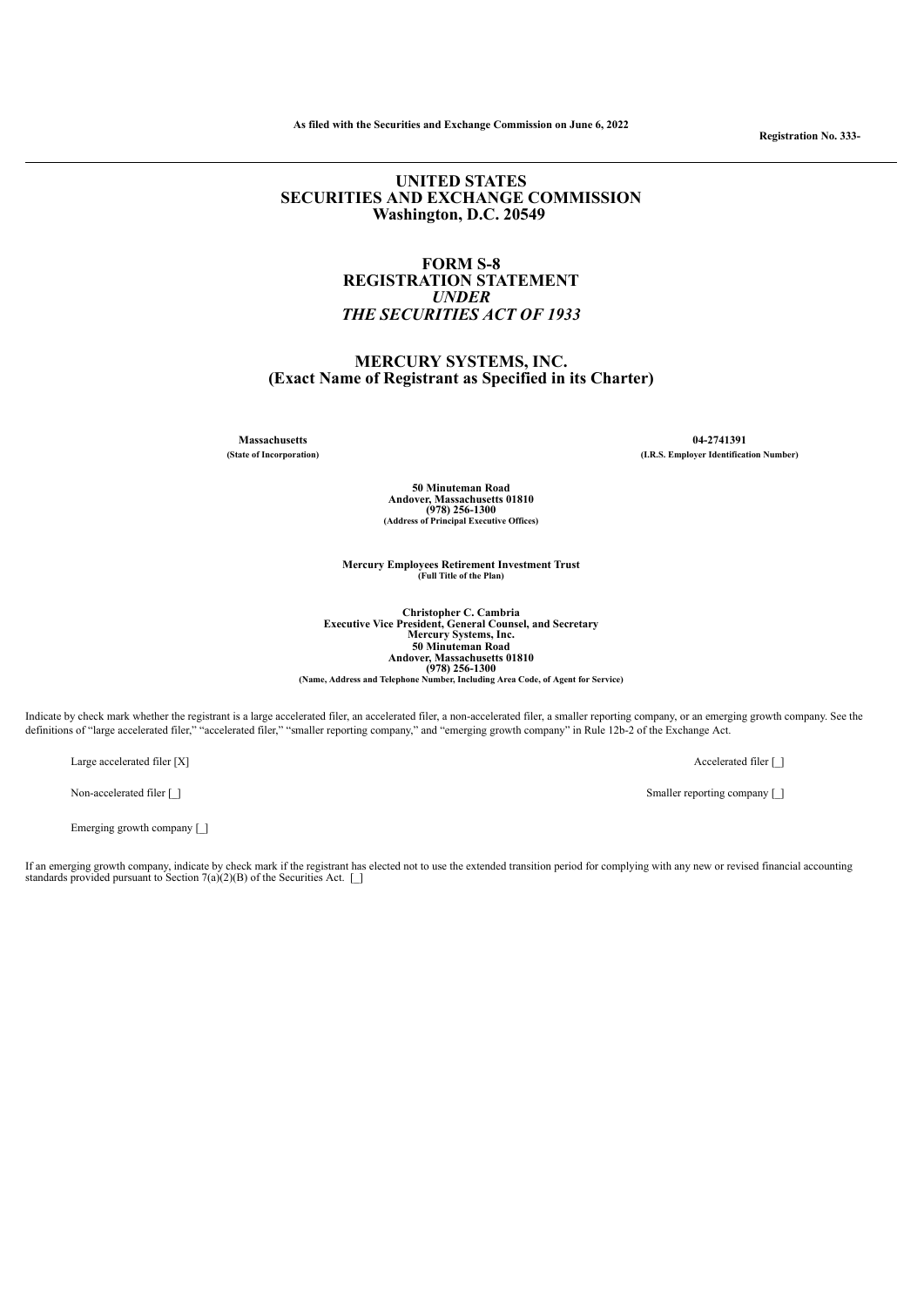**As filed with the Securities and Exchange Commission on June 6, 2022**

## **UNITED STATES SECURITIES AND EXCHANGE COMMISSION Washington, D.C. 20549**

## **FORM S-8 REGISTRATION STATEMENT** *UNDER THE SECURITIES ACT OF 1933*

# **MERCURY SYSTEMS, INC. (Exact Name of Registrant as Specified in its Charter)**

**Massachusetts 04-2741391 (State of Incorporation) (I.R.S. Employer Identification Number)**

> **50 Minuteman Road Andover, Massachusetts 01810 (978) 256-1300 (Address of Principal Executive Offices)**

**Mercury Employees Retirement Investment Trust (Full Title of the Plan)**

**Christopher C. Cambria Executive Vice President, General Counsel, and Secretary** Mercury Systems, Inc.<br>50 Minuteman Road<br>Andover, Massachusetts 01810<br>(978) 256-1300<br>(Name, Address and Telephone Number, Including Area Code, of Agent for Service)

Indicate by check mark whether the registrant is a large accelerated filer, an accelerated filer, a non-accelerated filer, a smaller reporting company, or an emerging growth company. See the definitions of "large accelerated filer," "accelerated filer," "smaller reporting company," and "emerging growth company" in Rule 12b-2 of the Exchange Act.

Large accelerated filer  $[X]$  Accelerated filer  $[$  Accelerated filer  $[$   $]$ 

Emerging growth company [ $\]$ ]

If an emerging growth company, indicate by check mark if the registrant has elected not to use the extended transition period for complying with any new or revised financial accounting<br>standards provided pursuant to Sectio

Non-accelerated filer [ ] Smaller reporting company [ ]

**Registration No. 333-**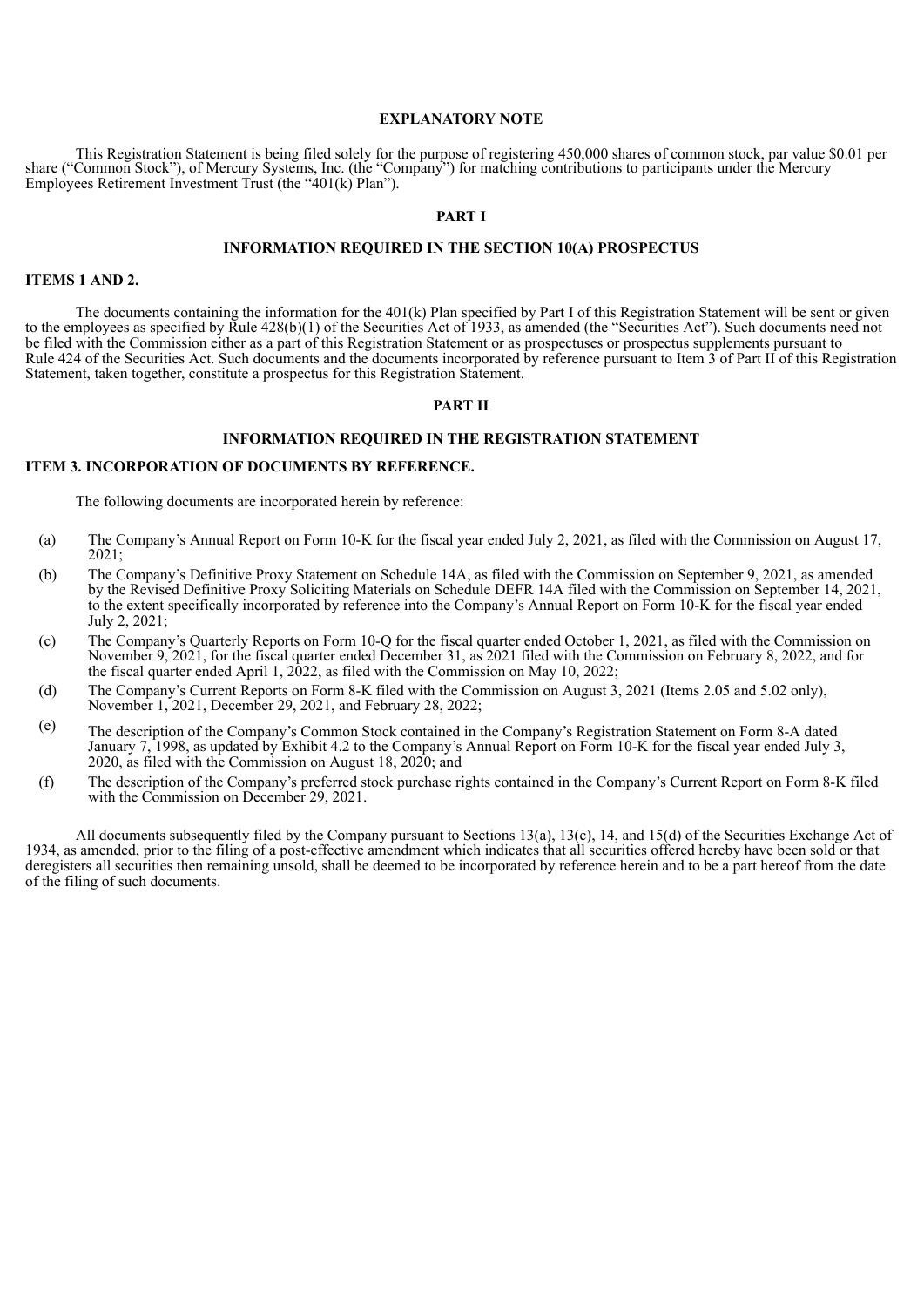#### **EXPLANATORY NOTE**

This Registration Statement is being filed solely for the purpose of registering 450,000 shares of common stock, par value \$0.01 per share ("Common Stock"), of Mercury Systems, Inc. (the "Company") for matching contributions to participants under the Mercury Employees Retirement Investment Trust (the "401(k) Plan").

#### **PART I**

#### **INFORMATION REQUIRED IN THE SECTION 10(A) PROSPECTUS**

## **ITEMS 1 AND 2.**

The documents containing the information for the 401(k) Plan specified by Part I of this Registration Statement will be sent or given to the employees as specified by Rule 428(b)(1) of the Securities Act of 1933, as amended (the "Securities Act"). Such documents need not be filed with the Commission either as a part of this Registration Statement or as prospectuses or prospectus supplements pursuant to Rule 424 of the Securities Act. Such documents and the documents incorporated by reference pursuant to Item 3 of Part II of this Registration Statement, taken together, constitute a prospectus for this Registration Statement.

#### **PART II**

#### **INFORMATION REQUIRED IN THE REGISTRATION STATEMENT**

#### **ITEM 3. INCORPORATION OF DOCUMENTS BY REFERENCE.**

The following documents are incorporated herein by reference:

- (a) The Company's Annual Report on Form 10-K for the fiscal year ended July 2, 2021, as filed with the Commission on August 17, 2021;
- (b) The Company's Definitive Proxy Statement on Schedule 14A, as filed with the Commission on September 9, 2021, as amended by the Revised Definitive Proxy Soliciting Materials on Schedule DEFR 14A filed with the Commission on September 14, 2021, to the extent specifically incorporated by reference into the Company's Annual Report on Form 10-K for the fiscal year ended July 2, 2021;
- (c) The Company's Quarterly Reports on Form 10-Q for the fiscal quarter ended October 1, 2021, as filed with the Commission on November 9, 2021, for the fiscal quarter ended December 31, as 2021 filed with the Commission on February 8, 2022, and for the fiscal quarter ended April 1, 2022, as filed with the Commission on May 10, 2022;
- (d) The Company's Current Reports on Form 8-K filed with the Commission on August 3, 2021 (Items 2.05 and 5.02 only), November 1, 2021, December 29, 2021, and February 28, 2022;
- (e) The description of the Company's Common Stock contained in the Company's Registration Statement on Form 8-A dated January 7, 1998, as updated by Exhibit 4.2 to the Company's Annual Report on Form 10-K for the fiscal year ended July 3, 2020, as filed with the Commission on August 18, 2020; and
- (f) The description of the Company's preferred stock purchase rights contained in the Company's Current Report on Form 8-K filed with the Commission on December 29, 2021.

All documents subsequently filed by the Company pursuant to Sections 13(a), 13(c), 14, and 15(d) of the Securities Exchange Act of 1934, as amended, prior to the filing of a post-effective amendment which indicates that all securities offered hereby have been sold or that deregisters all securities then remaining unsold, shall be deemed to be incorporated by reference herein and to be a part hereof from the date of the filing of such documents.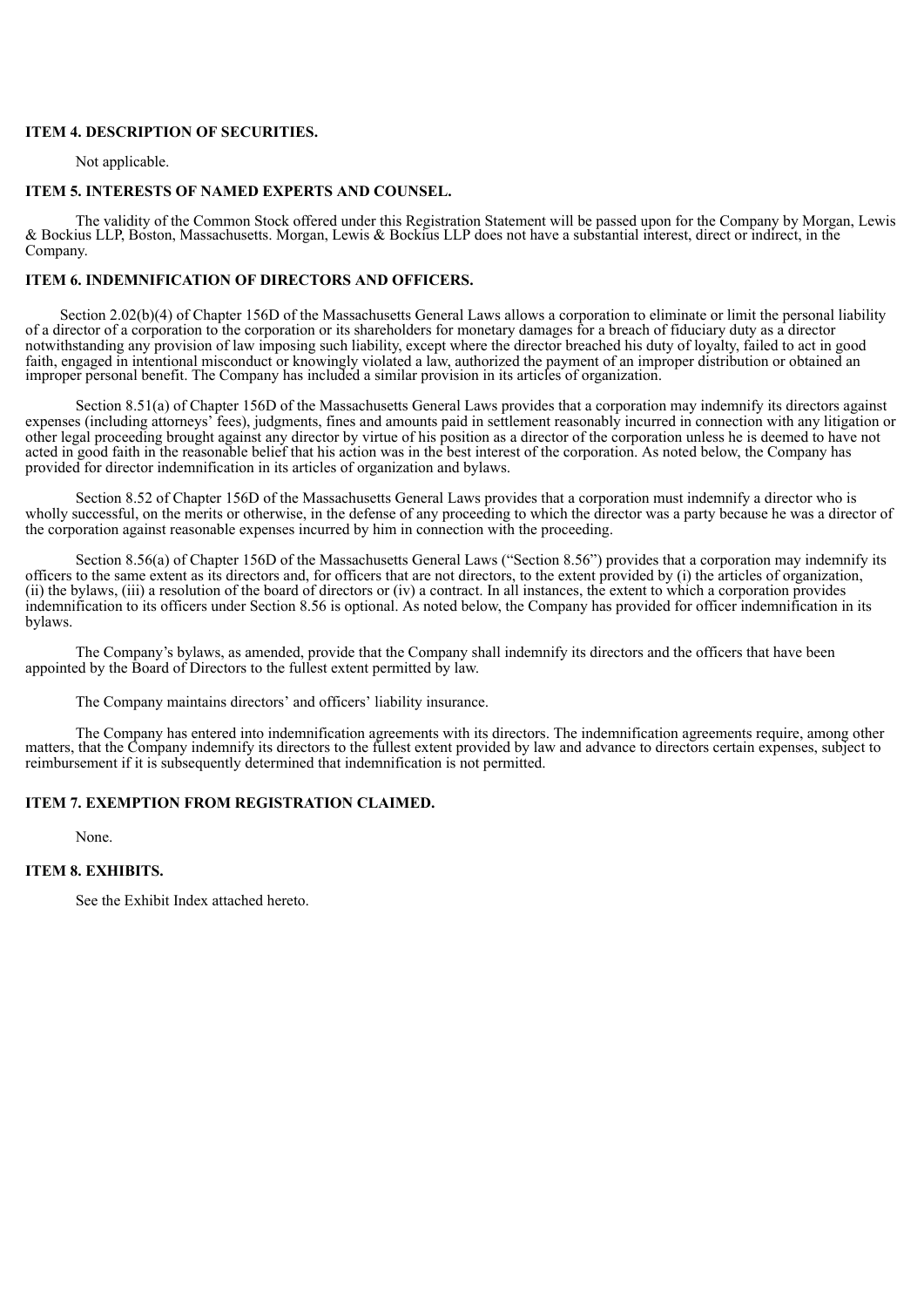## **ITEM 4. DESCRIPTION OF SECURITIES.**

Not applicable.

#### **ITEM 5. INTERESTS OF NAMED EXPERTS AND COUNSEL.**

The validity of the Common Stock offered under this Registration Statement will be passed upon for the Company by Morgan, Lewis & Bockius LLP, Boston, Massachusetts. Morgan, Lewis & Bockius LLP does not have a substantial interest, direct or indirect, in the Company.

# **ITEM 6. INDEMNIFICATION OF DIRECTORS AND OFFICERS.**

Section 2.02(b)(4) of Chapter 156D of the Massachusetts General Laws allows a corporation to eliminate or limit the personal liability of a director of a corporation to the corporation or its shareholders for monetary damages for a breach of fiduciary duty as a director notwithstanding any provision of law imposing such liability, except where the director breached his duty of loyalty, failed to act in good faith, engaged in intentional misconduct or knowingly violated a law, authorized the payment of an improper distribution or obtained an improper personal benefit. The Company has included a similar provision in its articles of organization.

Section 8.51(a) of Chapter 156D of the Massachusetts General Laws provides that a corporation may indemnify its directors against expenses (including attorneys' fees), judgments, fines and amounts paid in settlement reasonably incurred in connection with any litigation or other legal proceeding brought against any director by virtue of his position as a director of the corporation unless he is deemed to have not acted in good faith in the reasonable belief that his action was in the best interest of the corporation. As noted below, the Company has provided for director indemnification in its articles of organization and bylaws.

Section 8.52 of Chapter 156D of the Massachusetts General Laws provides that a corporation must indemnify a director who is wholly successful, on the merits or otherwise, in the defense of any proceeding to which the director was a party because he was a director of the corporation against reasonable expenses incurred by him in connection with the proceeding.

Section 8.56(a) of Chapter 156D of the Massachusetts General Laws ("Section 8.56") provides that a corporation may indemnify its officers to the same extent as its directors and, for officers that are not directors, to the extent provided by (i) the articles of organization, (ii) the bylaws, (iii) a resolution of the board of directors or (iv) a contract. In all instances, the extent to which a corporation provides indemnification to its officers under Section 8.56 is optional. As noted below, the Company has provided for officer indemnification in its bylaws.

The Company's bylaws, as amended, provide that the Company shall indemnify its directors and the officers that have been appointed by the Board of Directors to the fullest extent permitted by law.

The Company maintains directors' and officers' liability insurance.

The Company has entered into indemnification agreements with its directors. The indemnification agreements require, among other matters, that the Company indemnify its directors to the fullest extent provided by law and advance to directors certain expenses, subject to reimbursement if it is subsequently determined that indemnification is not permitted.

#### **ITEM 7. EXEMPTION FROM REGISTRATION CLAIMED.**

None.

#### **ITEM 8. EXHIBITS.**

See the Exhibit Index attached hereto.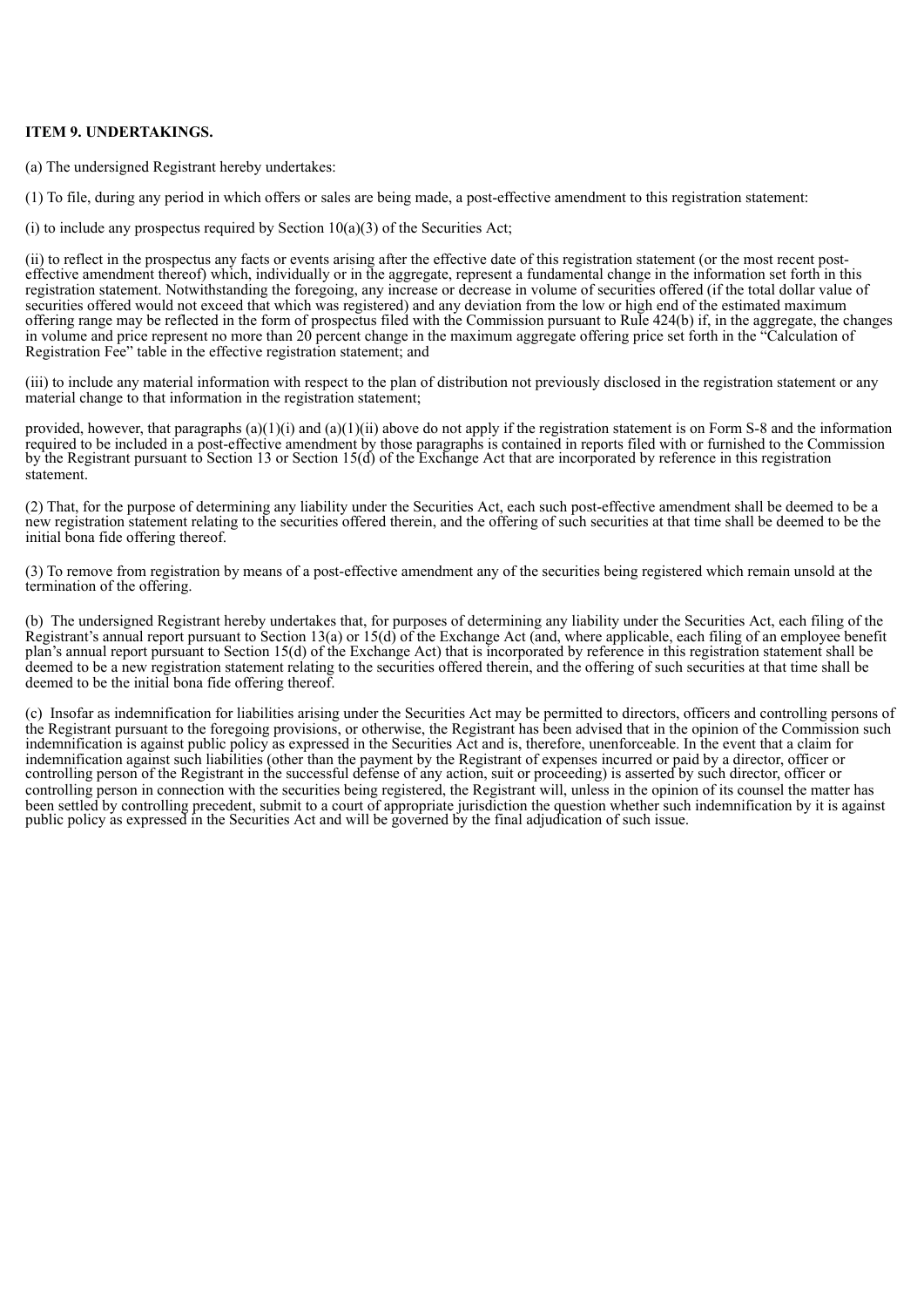## **ITEM 9. UNDERTAKINGS.**

(a) The undersigned Registrant hereby undertakes:

(1) To file, during any period in which offers or sales are being made, a post-effective amendment to this registration statement:

(i) to include any prospectus required by Section  $10(a)(3)$  of the Securities Act;

(ii) to reflect in the prospectus any facts or events arising after the effective date of this registration statement (or the most recent posteffective amendment thereof) which, individually or in the aggregate, represent a fundamental change in the information set forth in this registration statement. Notwithstanding the foregoing, any increase or decrease in volume of securities offered (if the total dollar value of securities offered would not exceed that which was registered) and any deviation from the low or high end of the estimated maximum offering range may be reflected in the form of prospectus filed with the Commission pursuant to Rule 424(b) if, in the aggregate, the changes in volume and price represent no more than 20 percent change in the maximum aggregate offering price set forth in the "Calculation of Registration Fee" table in the effective registration statement; and

(iii) to include any material information with respect to the plan of distribution not previously disclosed in the registration statement or any material change to that information in the registration statement;

provided, however, that paragraphs  $(a)(1)(i)$  and  $(a)(1)(ii)$  above do not apply if the registration statement is on Form S-8 and the information required to be included in a post-effective amendment by those paragraphs is contained in reports filed with or furnished to the Commission by the Registrant pursuant to Section 13 or Section 15(d) of the Exchange Act that are incorporated by reference in this registration statement.

(2) That, for the purpose of determining any liability under the Securities Act, each such post-effective amendment shall be deemed to be a new registration statement relating to the securities offered therein, and the offering of such securities at that time shall be deemed to be the initial bona fide offering thereof.

(3) To remove from registration by means of a post-effective amendment any of the securities being registered which remain unsold at the termination of the offering.

(b) The undersigned Registrant hereby undertakes that, for purposes of determining any liability under the Securities Act, each filing of the Registrant's annual report pursuant to Section 13(a) or 15(d) of the Exchange Act (and, where applicable, each filing of an employee benefit plan's annual report pursuant to Section 15(d) of the Exchange Act) that is incorporated by reference in this registration statement shall be deemed to be a new registration statement relating to the securities offered therein, and the offering of such securities at that time shall be deemed to be the initial bona fide offering thereof.

(c) Insofar as indemnification for liabilities arising under the Securities Act may be permitted to directors, officers and controlling persons of the Registrant pursuant to the foregoing provisions, or otherwise, the Registrant has been advised that in the opinion of the Commission such indemnification is against public policy as expressed in the Securities Act and is, therefore, unenforceable. In the event that a claim for indemnification against such liabilities (other than the payment by the Registrant of expenses incurred or paid by a director, officer or controlling person of the Registrant in the successful defense of any action, suit or proceeding) is asserted by such director, officer or controlling person in connection with the securities being registered, the Registrant will, unless in the opinion of its counsel the matter has been settled by controlling precedent, submit to a court of appropriate jurisdiction the question whether such indemnification by it is against public policy as expressed in the Securities Act and will be governed by the final adjudication of such issue.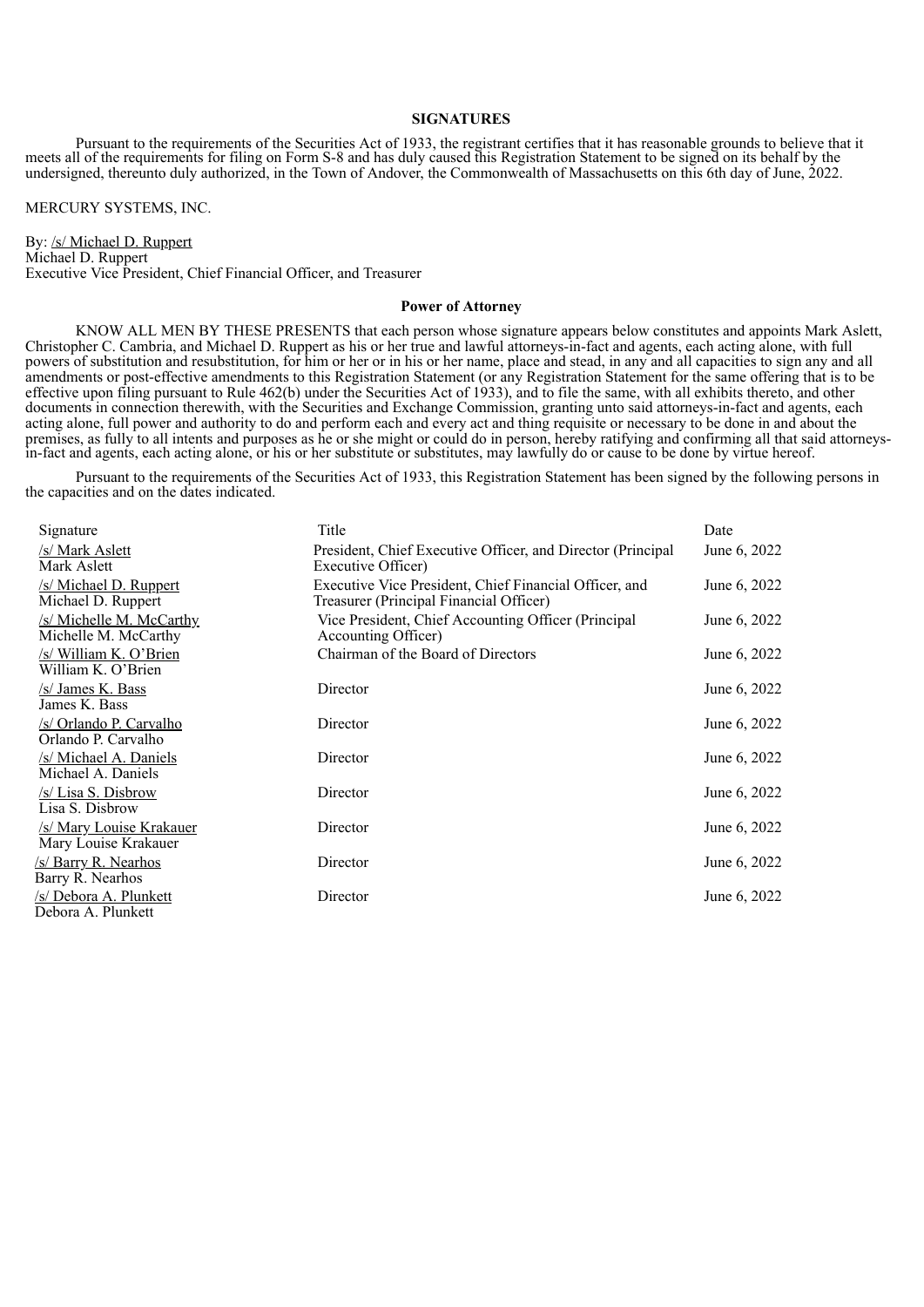#### **SIGNATURES**

Pursuant to the requirements of the Securities Act of 1933, the registrant certifies that it has reasonable grounds to believe that it meets all of the requirements for filing on Form S-8 and has duly caused this Registration Statement to be signed on its behalf by the undersigned, thereunto duly authorized, in the Town of Andover, the Commonwealth of Massachusetts on this 6th day of June, 2022.

MERCURY SYSTEMS, INC.

By: /s/ Michael D. Ruppert Michael D. Ruppert Executive Vice President, Chief Financial Officer, and Treasurer

#### **Power of Attorney**

KNOW ALL MEN BY THESE PRESENTS that each person whose signature appears below constitutes and appoints Mark Aslett, Christopher C. Cambria, and Michael D. Ruppert as his or her true and lawful attorneys-in-fact and agents, each acting alone, with full powers of substitution and resubstitution, for him or her or in his or her name, place and stead, in any and all capacities to sign any and all amendments or post-effective amendments to this Registration Statement (or any Registration Statement for the same offering that is to be effective upon filing pursuant to Rule 462(b) under the Securities Act of 1933), and to file the same, with all exhibits thereto, and other documents in connection therewith, with the Securities and Exchange Commission, granting unto said attorneys-in-fact and agents, each acting alone, full power and authority to do and perform each and every act and thing requisite or necessary to be done in and about the premises, as fully to all intents and purposes as he or she might or could do in person, hereby ratifying and confirming all that said attorneysin-fact and agents, each acting alone, or his or her substitute or substitutes, may lawfully do or cause to be done by virtue hereof.

Pursuant to the requirements of the Securities Act of 1933, this Registration Statement has been signed by the following persons in the capacities and on the dates indicated.

| Signature                                        | Title                                                                                             | Date         |
|--------------------------------------------------|---------------------------------------------------------------------------------------------------|--------------|
| /s/ Mark Aslett<br>Mark Aslett                   | President, Chief Executive Officer, and Director (Principal<br>Executive Officer)                 | June 6, 2022 |
| /s/ Michael D. Ruppert<br>Michael D. Ruppert     | Executive Vice President, Chief Financial Officer, and<br>Treasurer (Principal Financial Officer) | June 6, 2022 |
| /s/ Michelle M. McCarthy<br>Michelle M. McCarthy | Vice President, Chief Accounting Officer (Principal<br>Accounting Officer)                        | June 6, 2022 |
| /s/ William K. O'Brien<br>William K. O'Brien     | Chairman of the Board of Directors                                                                | June 6, 2022 |
| /s/ James K. Bass<br>James K. Bass               | Director                                                                                          | June 6, 2022 |
| /s/ Orlando P. Carvalho<br>Orlando P. Carvalho   | Director                                                                                          | June 6, 2022 |
| /s/ Michael A. Daniels<br>Michael A. Daniels     | Director                                                                                          | June 6, 2022 |
| /s/ Lisa S. Disbrow<br>Lisa S. Disbrow           | Director                                                                                          | June 6, 2022 |
| /s/ Mary Louise Krakauer<br>Mary Louise Krakauer | Director                                                                                          | June 6, 2022 |
| /s/ Barry R. Nearhos<br>Barry R. Nearhos         | Director                                                                                          | June 6, 2022 |
| /s/ Debora A. Plunkett<br>Debora A. Plunkett     | Director                                                                                          | June 6, 2022 |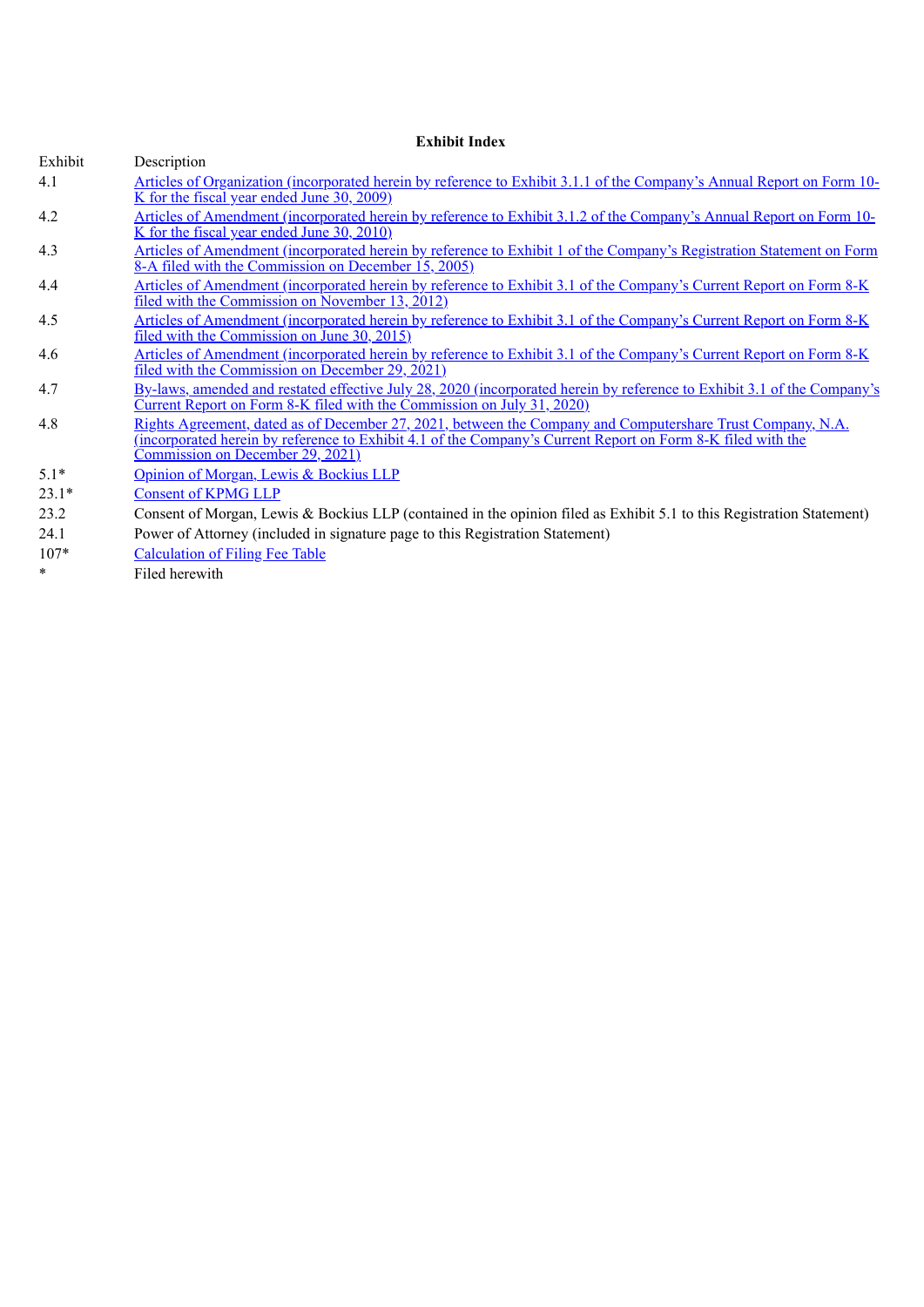# **Exhibit Index**

| Exhibit | Description                                                                                                                                                           |
|---------|-----------------------------------------------------------------------------------------------------------------------------------------------------------------------|
| 4.1     | Articles of Organization (incorporated herein by reference to Exhibit 3.1.1 of the Company's Annual Report on Form 10-                                                |
|         | K for the fiscal year ended June 30, 2009)                                                                                                                            |
| 4.2     | Articles of Amendment (incorporated herein by reference to Exhibit 3.1.2 of the Company's Annual Report on Form 10-                                                   |
|         | K for the fiscal year ended June 30, 2010)                                                                                                                            |
| 4.3     | Articles of Amendment (incorporated herein by reference to Exhibit 1 of the Company's Registration Statement on Form                                                  |
|         | 8-A filed with the Commission on December 15, 2005)                                                                                                                   |
| 4.4     | Articles of Amendment (incorporated herein by reference to Exhibit 3.1 of the Company's Current Report on Form 8-K<br>filed with the Commission on November 13, 2012) |
| 4.5     |                                                                                                                                                                       |
|         | Articles of Amendment (incorporated herein by reference to Exhibit 3.1 of the Company's Current Report on Form 8-K<br>filed with the Commission on June 30, 2015)     |
| 4.6     | Articles of Amendment (incorporated herein by reference to Exhibit 3.1 of the Company's Current Report on Form 8-K                                                    |
|         | filed with the Commission on December 29, 2021)                                                                                                                       |
| 4.7     | By-laws, amended and restated effective July 28, 2020 (incorporated herein by reference to Exhibit 3.1 of the Company's                                               |
|         | Current Report on Form 8-K filed with the Commission on July 31, 2020)                                                                                                |
| 4.8     | Rights Agreement, dated as of December 27, 2021, between the Company and Computershare Trust Company, N.A.                                                            |
|         | (incorporated herein by reference to Exhibit 4.1 of the Company's Current Report on Form 8-K filed with the                                                           |
|         | Commission on December 29, 2021)                                                                                                                                      |
| $5.1*$  | Opinion of Morgan, Lewis & Bockius LLP                                                                                                                                |
| $23.1*$ | <b>Consent of KPMG LLP</b>                                                                                                                                            |
| 23.2    | Consent of Morgan, Lewis & Bockius LLP (contained in the opinion filed as Exhibit 5.1 to this Registration Statement)                                                 |
| 24.1    | Power of Attorney (included in signature page to this Registration Statement)                                                                                         |
| $107*$  | <b>Calculation of Filing Fee Table</b>                                                                                                                                |
| $\ast$  | Filed herewith                                                                                                                                                        |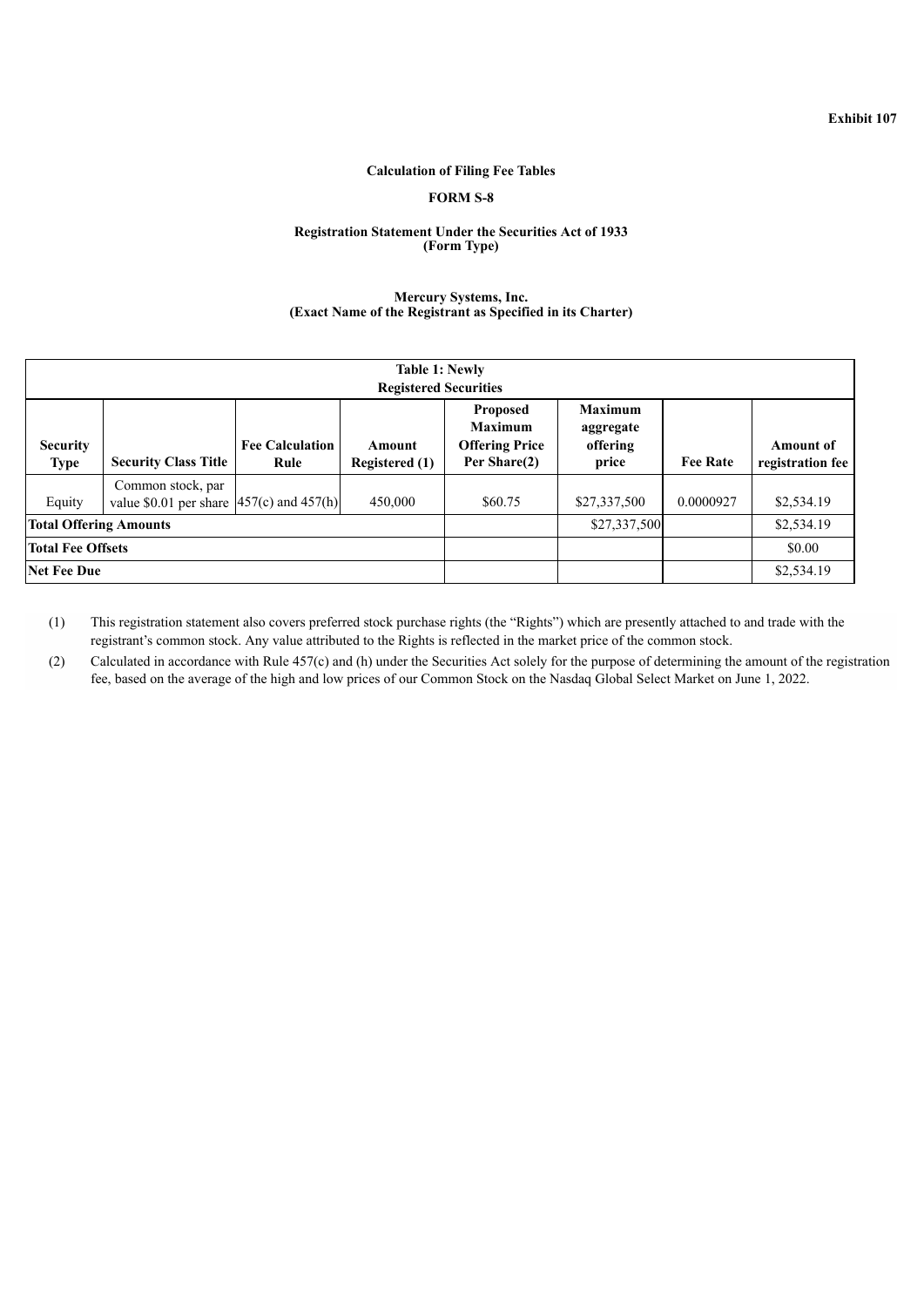## **Calculation of Filing Fee Tables**

# **FORM S-8**

#### <span id="page-6-0"></span>**Registration Statement Under the Securities Act of 1933 (Form Type)**

#### **Mercury Systems, Inc. (Exact Name of the Registrant as Specified in its Charter)**

| <b>Table 1: Newly</b><br><b>Registered Securities</b> |                                                                    |                                |                                 |                                                                            |                                                  |                 |                               |  |  |
|-------------------------------------------------------|--------------------------------------------------------------------|--------------------------------|---------------------------------|----------------------------------------------------------------------------|--------------------------------------------------|-----------------|-------------------------------|--|--|
| <b>Security</b><br><b>Type</b>                        | <b>Security Class Title</b>                                        | <b>Fee Calculation</b><br>Rule | Amount<br><b>Registered</b> (1) | <b>Proposed</b><br><b>Maximum</b><br><b>Offering Price</b><br>Per Share(2) | <b>Maximum</b><br>aggregate<br>offering<br>price | <b>Fee Rate</b> | Amount of<br>registration fee |  |  |
| Equity                                                | Common stock, par<br>value \$0.01 per share $ 457(c)$ and $457(h)$ |                                | 450,000                         | \$60.75                                                                    | \$27,337,500                                     | 0.0000927       | \$2,534.19                    |  |  |
| <b>Total Offering Amounts</b>                         |                                                                    |                                |                                 | \$27,337,500                                                               |                                                  | \$2,534.19      |                               |  |  |
| <b>Total Fee Offsets</b>                              |                                                                    |                                |                                 |                                                                            |                                                  | \$0.00          |                               |  |  |
| <b>Net Fee Due</b>                                    |                                                                    |                                |                                 |                                                                            |                                                  | \$2,534.19      |                               |  |  |

(1) This registration statement also covers preferred stock purchase rights (the "Rights") which are presently attached to and trade with the registrant's common stock. Any value attributed to the Rights is reflected in the market price of the common stock.

(2) Calculated in accordance with Rule 457(c) and (h) under the Securities Act solely for the purpose of determining the amount of the registration fee, based on the average of the high and low prices of our Common Stock on the Nasdaq Global Select Market on June 1, 2022.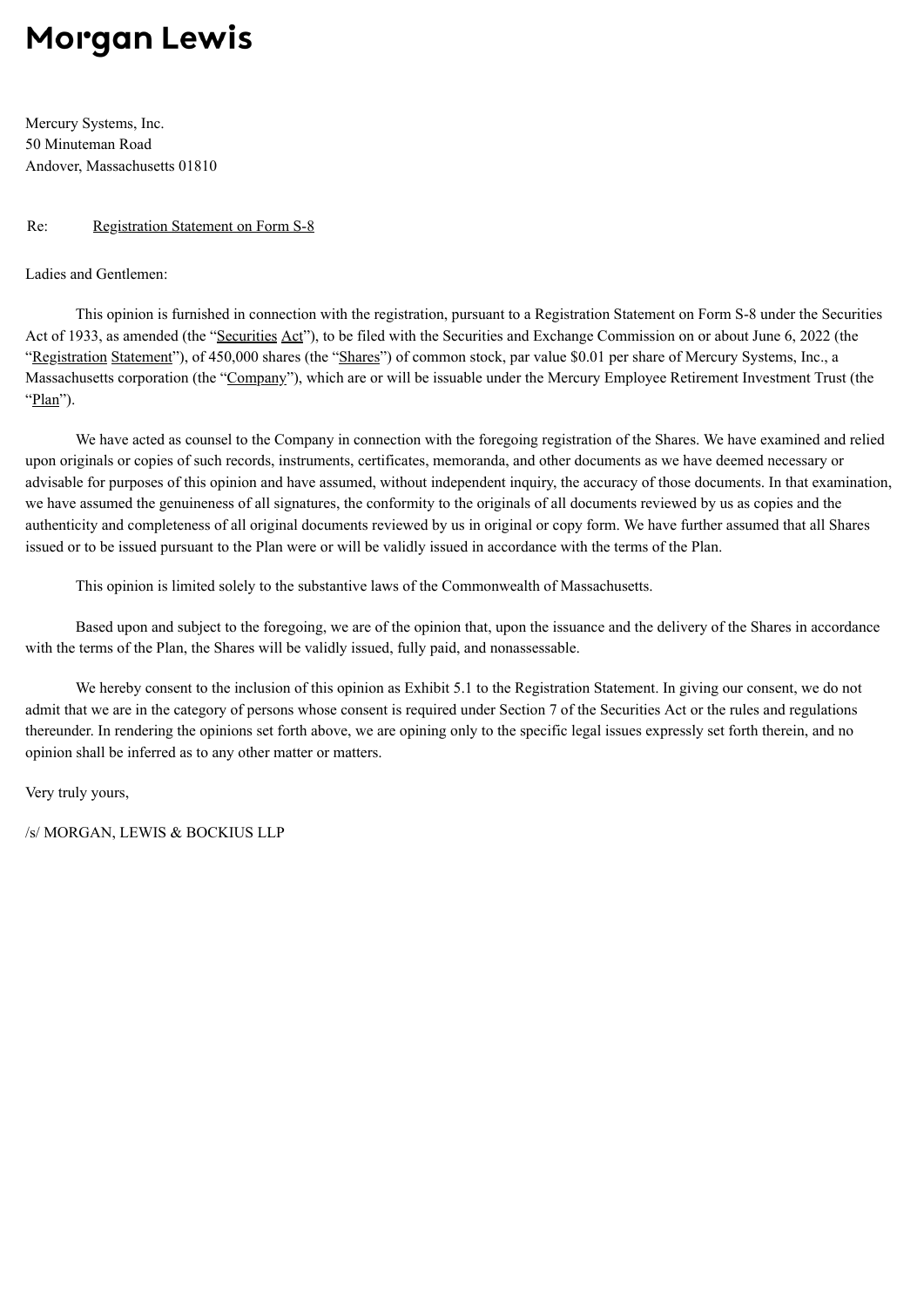# <span id="page-7-0"></span>**Morgan Lewis**

Mercury Systems, Inc. 50 Minuteman Road Andover, Massachusetts 01810

# Re: Registration Statement on Form S-8

Ladies and Gentlemen:

This opinion is furnished in connection with the registration, pursuant to a Registration Statement on Form S-8 under the Securities Act of 1933, as amended (the "Securities Act"), to be filed with the Securities and Exchange Commission on or about June 6, 2022 (the "Registration Statement"), of 450,000 shares (the "Shares") of common stock, par value \$0.01 per share of Mercury Systems, Inc., a Massachusetts corporation (the "Company"), which are or will be issuable under the Mercury Employee Retirement Investment Trust (the "Plan").

We have acted as counsel to the Company in connection with the foregoing registration of the Shares. We have examined and relied upon originals or copies of such records, instruments, certificates, memoranda, and other documents as we have deemed necessary or advisable for purposes of this opinion and have assumed, without independent inquiry, the accuracy of those documents. In that examination, we have assumed the genuineness of all signatures, the conformity to the originals of all documents reviewed by us as copies and the authenticity and completeness of all original documents reviewed by us in original or copy form. We have further assumed that all Shares issued or to be issued pursuant to the Plan were or will be validly issued in accordance with the terms of the Plan.

This opinion is limited solely to the substantive laws of the Commonwealth of Massachusetts.

Based upon and subject to the foregoing, we are of the opinion that, upon the issuance and the delivery of the Shares in accordance with the terms of the Plan, the Shares will be validly issued, fully paid, and nonassessable.

We hereby consent to the inclusion of this opinion as Exhibit 5.1 to the Registration Statement. In giving our consent, we do not admit that we are in the category of persons whose consent is required under Section 7 of the Securities Act or the rules and regulations thereunder. In rendering the opinions set forth above, we are opining only to the specific legal issues expressly set forth therein, and no opinion shall be inferred as to any other matter or matters.

Very truly yours,

/s/ MORGAN, LEWIS & BOCKIUS LLP